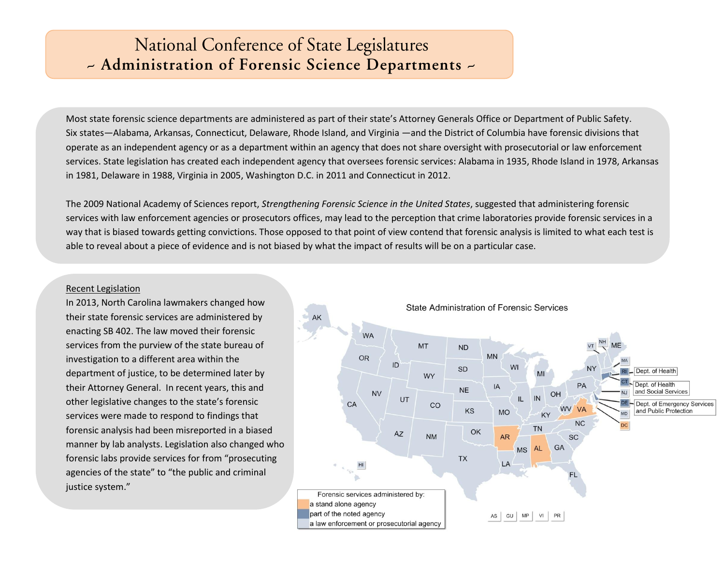## National Conference of State Legislatures - Administration of Forensic Science Departments -

Most state forensic science departments are administered as part of their state's Attorney Generals Office or Department of Public Safety. Six states—Alabama, Arkansas, Connecticut, Delaware, Rhode Island, and Virginia —and the District of Columbia have forensic divisions that operate as an independent agency or as a department within an agency that does not share oversight with prosecutorial or law enforcement services. State legislation has created each independent agency that oversees forensic services: Alabama in 1935, Rhode Island in 1978, Arkansas in 1981, Delaware in 1988, Virginia in 2005, Washington D.C. in 2011 and Connecticut in 2012.

The 2009 National Academy of Sciences report, *Strengthening Forensic Science in the United States*, suggested that administering forensic services with law enforcement agencies or prosecutors offices, may lead to the perception that crime laboratories provide forensic services in a way that is biased towards getting convictions. Those opposed to that point of view contend that forensic analysis is limited to what each test is able to reveal about a piece of evidence and is not biased by what the impact of results will be on a particular case.

## Recent Legislation

In 2013, North Carolina lawmakers changed how their state forensic services are administered by enacting SB 402. The law moved their forensic services from the purview of the state bureau of investigation to a different area within the department of justice, to be determined later by their Attorney General. In recent years, this and other legislative changes to the state's forensic services were made to respond to findings that forensic analysis had been misreported in a biased manner by lab analysts. Legislation also changed who forensic labs provide services for from "prosecuting agencies of the state" to "the public and criminal justice system."

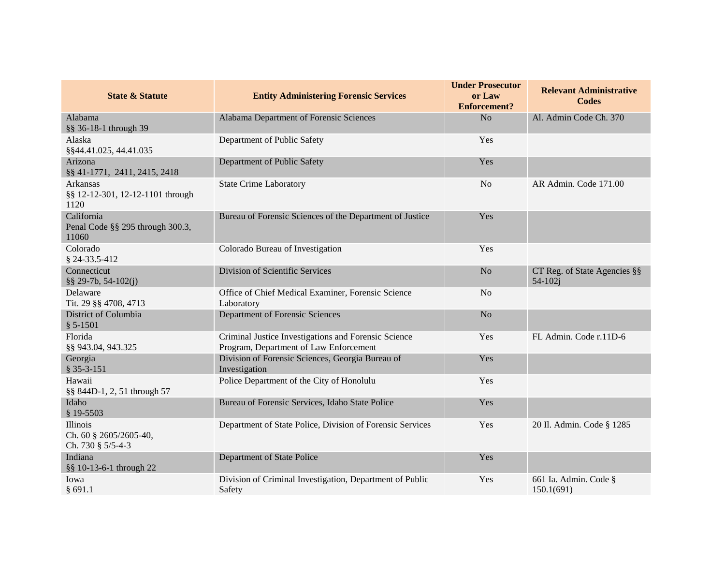| <b>State &amp; Statute</b>                              | <b>Entity Administering Forensic Services</b>                                                  | <b>Under Prosecutor</b><br>or Law<br><b>Enforcement?</b> | <b>Relevant Administrative</b><br><b>Codes</b> |
|---------------------------------------------------------|------------------------------------------------------------------------------------------------|----------------------------------------------------------|------------------------------------------------|
| Alabama<br>§§ 36-18-1 through 39                        | Alabama Department of Forensic Sciences                                                        | N <sub>o</sub>                                           | Al. Admin Code Ch. 370                         |
| Alaska<br>§§44.41.025, 44.41.035                        | Department of Public Safety                                                                    | Yes                                                      |                                                |
| Arizona<br>§§ 41-1771, 2411, 2415, 2418                 | Department of Public Safety                                                                    | Yes                                                      |                                                |
| Arkansas<br>§§ 12-12-301, 12-12-1101 through<br>1120    | <b>State Crime Laboratory</b>                                                                  | N <sub>o</sub>                                           | AR Admin. Code 171.00                          |
| California<br>Penal Code §§ 295 through 300.3,<br>11060 | Bureau of Forensic Sciences of the Department of Justice                                       | Yes                                                      |                                                |
| Colorado<br>\$24-33.5-412                               | Colorado Bureau of Investigation                                                               | Yes                                                      |                                                |
| Connecticut<br>$\S$ § 29-7b, 54-102(j)                  | Division of Scientific Services                                                                | No                                                       | CT Reg. of State Agencies §§<br>$54 - 102i$    |
| Delaware<br>Tit. 29 §§ 4708, 4713                       | Office of Chief Medical Examiner, Forensic Science<br>Laboratory                               | N <sub>o</sub>                                           |                                                |
| District of Columbia<br>$$5-1501$                       | Department of Forensic Sciences                                                                | N <sub>o</sub>                                           |                                                |
| Florida<br>§§ 943.04, 943.325                           | Criminal Justice Investigations and Forensic Science<br>Program, Department of Law Enforcement | Yes                                                      | FL Admin. Code r.11D-6                         |
| Georgia<br>$$35-3-151$                                  | Division of Forensic Sciences, Georgia Bureau of<br>Investigation                              | Yes                                                      |                                                |
| Hawaii<br>§§ 844D-1, 2, 51 through 57                   | Police Department of the City of Honolulu                                                      | Yes                                                      |                                                |
| Idaho<br>$$19-5503$                                     | Bureau of Forensic Services, Idaho State Police                                                | Yes                                                      |                                                |
| Illinois<br>Ch. 60 § 2605/2605-40,<br>Ch. 730 § 5/5-4-3 | Department of State Police, Division of Forensic Services                                      | Yes                                                      | 20 Il. Admin. Code § 1285                      |
| Indiana<br>§§ 10-13-6-1 through 22                      | Department of State Police                                                                     | Yes                                                      |                                                |
| Iowa<br>§691.1                                          | Division of Criminal Investigation, Department of Public<br>Safety                             | Yes                                                      | 661 Ia. Admin. Code §<br>150.1(691)            |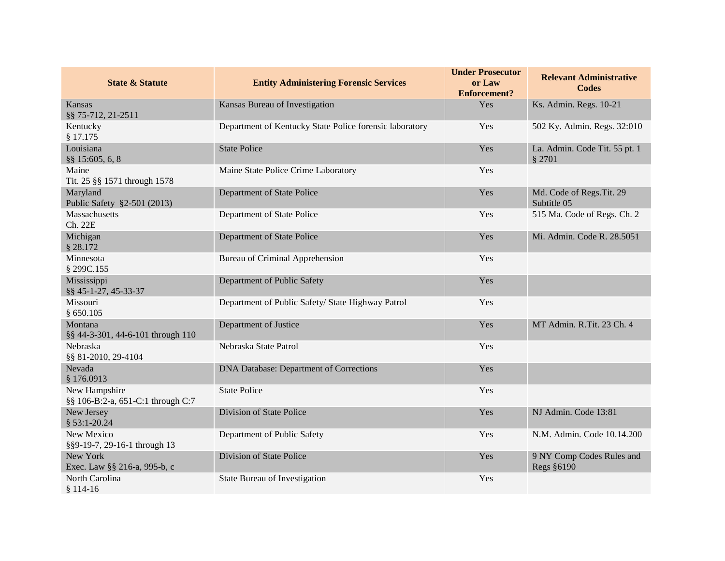| <b>State &amp; Statute</b>                         | <b>Entity Administering Forensic Services</b>           | <b>Under Prosecutor</b><br>or Law<br><b>Enforcement?</b> | <b>Relevant Administrative</b><br><b>Codes</b> |
|----------------------------------------------------|---------------------------------------------------------|----------------------------------------------------------|------------------------------------------------|
| Kansas<br>§§ 75-712, 21-2511                       | Kansas Bureau of Investigation                          | Yes                                                      | Ks. Admin. Regs. 10-21                         |
| Kentucky<br>§ 17.175                               | Department of Kentucky State Police forensic laboratory | Yes                                                      | 502 Ky. Admin. Regs. 32:010                    |
| Louisiana<br>§§ 15:605, 6, 8                       | <b>State Police</b>                                     | Yes                                                      | La. Admin. Code Tit. 55 pt. 1<br>§ 2701        |
| Maine<br>Tit. 25 §§ 1571 through 1578              | Maine State Police Crime Laboratory                     | Yes                                                      |                                                |
| Maryland<br>Public Safety §2-501 (2013)            | Department of State Police                              | Yes                                                      | Md. Code of Regs. Tit. 29<br>Subtitle 05       |
| Massachusetts<br>Ch. 22E                           | Department of State Police                              | Yes                                                      | 515 Ma. Code of Regs. Ch. 2                    |
| Michigan<br>\$28.172                               | Department of State Police                              | Yes                                                      | Mi. Admin. Code R. 28.5051                     |
| Minnesota<br>§ 299C.155                            | <b>Bureau of Criminal Apprehension</b>                  | Yes                                                      |                                                |
| Mississippi<br>§§ 45-1-27, 45-33-37                | Department of Public Safety                             | Yes                                                      |                                                |
| Missouri<br>§ 650.105                              | Department of Public Safety/ State Highway Patrol       | Yes                                                      |                                                |
| Montana<br>§§ 44-3-301, 44-6-101 through 110       | Department of Justice                                   | Yes                                                      | MT Admin. R.Tit. 23 Ch. 4                      |
| Nebraska<br>§§ 81-2010, 29-4104                    | Nebraska State Patrol                                   | Yes                                                      |                                                |
| Nevada<br>§ 176.0913                               | DNA Database: Department of Corrections                 | Yes                                                      |                                                |
| New Hampshire<br>§§ 106-B:2-a, 651-C:1 through C:7 | <b>State Police</b>                                     | Yes                                                      |                                                |
| New Jersey<br>$$53:1-20.24$                        | Division of State Police                                | Yes                                                      | NJ Admin. Code 13:81                           |
| New Mexico<br>§§9-19-7, 29-16-1 through 13         | Department of Public Safety                             | Yes                                                      | N.M. Admin. Code 10.14.200                     |
| New York<br>Exec. Law §§ 216-a, 995-b, c           | Division of State Police                                | Yes                                                      | 9 NY Comp Codes Rules and<br>Regs §6190        |
| North Carolina<br>$$114-16$                        | State Bureau of Investigation                           | Yes                                                      |                                                |